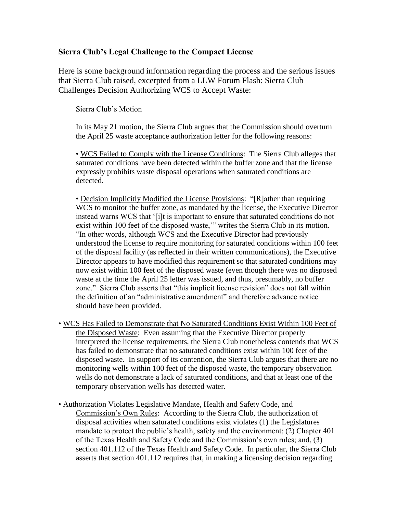## **Sierra Club's Legal Challenge to the Compact License**

Here is some background information regarding the process and the serious issues that Sierra Club raised, excerpted from a LLW Forum Flash: Sierra Club Challenges Decision Authorizing WCS to Accept Waste:

Sierra Club's Motion

In its May 21 motion, the Sierra Club argues that the Commission should overturn the April 25 waste acceptance authorization letter for the following reasons:

• WCS Failed to Comply with the License Conditions: The Sierra Club alleges that saturated conditions have been detected within the buffer zone and that the license expressly prohibits waste disposal operations when saturated conditions are detected.

• Decision Implicitly Modified the License Provisions: "[R]ather than requiring WCS to monitor the buffer zone, as mandated by the license, the Executive Director instead warns WCS that '[i]t is important to ensure that saturated conditions do not exist within 100 feet of the disposed waste,'" writes the Sierra Club in its motion. "In other words, although WCS and the Executive Director had previously understood the license to require monitoring for saturated conditions within 100 feet of the disposal facility (as reflected in their written communications), the Executive Director appears to have modified this requirement so that saturated conditions may now exist within 100 feet of the disposed waste (even though there was no disposed waste at the time the April 25 letter was issued, and thus, presumably, no buffer zone." Sierra Club asserts that "this implicit license revision" does not fall within the definition of an "administrative amendment" and therefore advance notice should have been provided.

- WCS Has Failed to Demonstrate that No Saturated Conditions Exist Within 100 Feet of the Disposed Waste: Even assuming that the Executive Director properly interpreted the license requirements, the Sierra Club nonetheless contends that WCS has failed to demonstrate that no saturated conditions exist within 100 feet of the disposed waste. In support of its contention, the Sierra Club argues that there are no monitoring wells within 100 feet of the disposed waste, the temporary observation wells do not demonstrate a lack of saturated conditions, and that at least one of the temporary observation wells has detected water.
- Authorization Violates Legislative Mandate, Health and Safety Code, and Commission's Own Rules: According to the Sierra Club, the authorization of disposal activities when saturated conditions exist violates (1) the Legislatures mandate to protect the public's health, safety and the environment; (2) Chapter 401 of the Texas Health and Safety Code and the Commission's own rules; and, (3) section 401.112 of the Texas Health and Safety Code. In particular, the Sierra Club asserts that section 401.112 requires that, in making a licensing decision regarding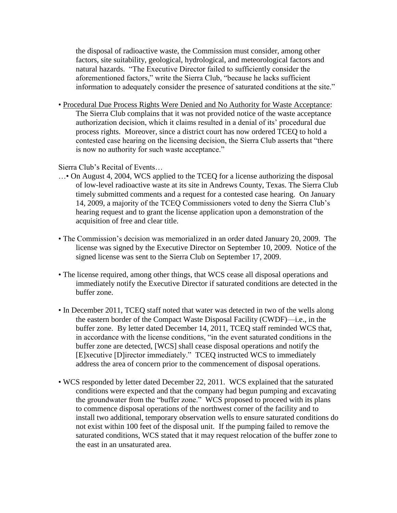the disposal of radioactive waste, the Commission must consider, among other factors, site suitability, geological, hydrological, and meteorological factors and natural hazards. "The Executive Director failed to sufficiently consider the aforementioned factors," write the Sierra Club, "because he lacks sufficient information to adequately consider the presence of saturated conditions at the site."

• Procedural Due Process Rights Were Denied and No Authority for Waste Acceptance: The Sierra Club complains that it was not provided notice of the waste acceptance authorization decision, which it claims resulted in a denial of its' procedural due process rights. Moreover, since a district court has now ordered TCEQ to hold a contested case hearing on the licensing decision, the Sierra Club asserts that "there is now no authority for such waste acceptance."

Sierra Club's Recital of Events…

- …• On August 4, 2004, WCS applied to the TCEQ for a license authorizing the disposal of low-level radioactive waste at its site in Andrews County, Texas. The Sierra Club timely submitted comments and a request for a contested case hearing. On January 14, 2009, a majority of the TCEQ Commissioners voted to deny the Sierra Club's hearing request and to grant the license application upon a demonstration of the acquisition of free and clear title.
- The Commission's decision was memorialized in an order dated January 20, 2009. The license was signed by the Executive Director on September 10, 2009. Notice of the signed license was sent to the Sierra Club on September 17, 2009.
- The license required, among other things, that WCS cease all disposal operations and immediately notify the Executive Director if saturated conditions are detected in the buffer zone.
- In December 2011, TCEQ staff noted that water was detected in two of the wells along the eastern border of the Compact Waste Disposal Facility (CWDF)—i.e., in the buffer zone. By letter dated December 14, 2011, TCEQ staff reminded WCS that, in accordance with the license conditions, "in the event saturated conditions in the buffer zone are detected, [WCS] shall cease disposal operations and notify the [E]xecutive [D]irector immediately." TCEQ instructed WCS to immediately address the area of concern prior to the commencement of disposal operations.
- WCS responded by letter dated December 22, 2011. WCS explained that the saturated conditions were expected and that the company had begun pumping and excavating the groundwater from the "buffer zone." WCS proposed to proceed with its plans to commence disposal operations of the northwest corner of the facility and to install two additional, temporary observation wells to ensure saturated conditions do not exist within 100 feet of the disposal unit. If the pumping failed to remove the saturated conditions, WCS stated that it may request relocation of the buffer zone to the east in an unsaturated area.